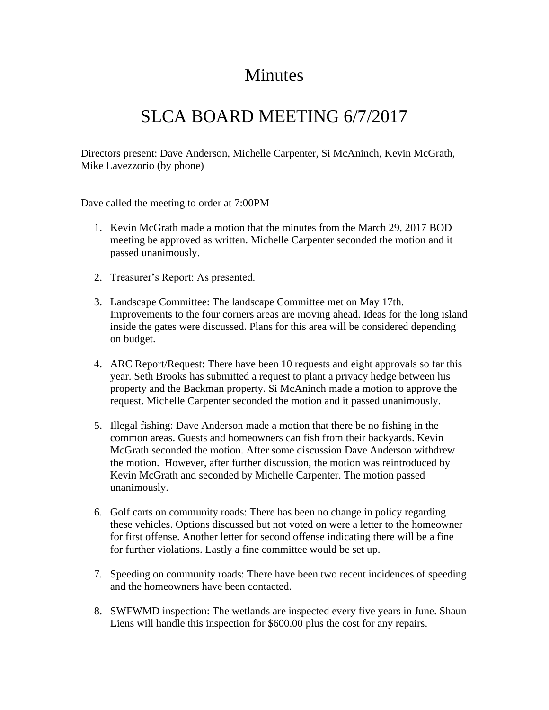## Minutes

## SLCA BOARD MEETING 6/7/2017

Directors present: Dave Anderson, Michelle Carpenter, Si McAninch, Kevin McGrath, Mike Lavezzorio (by phone)

Dave called the meeting to order at 7:00PM

- 1. Kevin McGrath made a motion that the minutes from the March 29, 2017 BOD meeting be approved as written. Michelle Carpenter seconded the motion and it passed unanimously.
- 2. Treasurer's Report: As presented.
- 3. Landscape Committee: The landscape Committee met on May 17th. Improvements to the four corners areas are moving ahead. Ideas for the long island inside the gates were discussed. Plans for this area will be considered depending on budget.
- 4. ARC Report/Request: There have been 10 requests and eight approvals so far this year. Seth Brooks has submitted a request to plant a privacy hedge between his property and the Backman property. Si McAninch made a motion to approve the request. Michelle Carpenter seconded the motion and it passed unanimously.
- 5. Illegal fishing: Dave Anderson made a motion that there be no fishing in the common areas. Guests and homeowners can fish from their backyards. Kevin McGrath seconded the motion. After some discussion Dave Anderson withdrew the motion. However, after further discussion, the motion was reintroduced by Kevin McGrath and seconded by Michelle Carpenter. The motion passed unanimously.
- 6. Golf carts on community roads: There has been no change in policy regarding these vehicles. Options discussed but not voted on were a letter to the homeowner for first offense. Another letter for second offense indicating there will be a fine for further violations. Lastly a fine committee would be set up.
- 7. Speeding on community roads: There have been two recent incidences of speeding and the homeowners have been contacted.
- 8. SWFWMD inspection: The wetlands are inspected every five years in June. Shaun Liens will handle this inspection for \$600.00 plus the cost for any repairs.